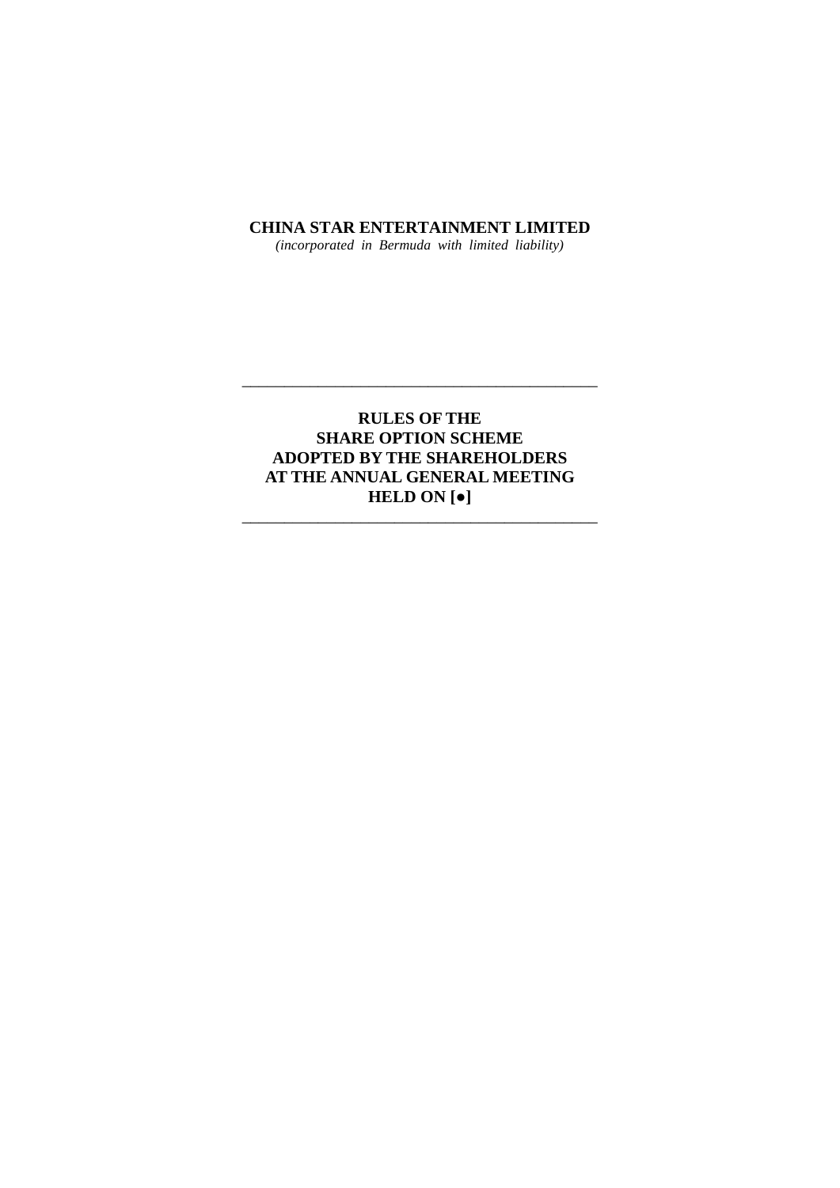## **CHINA STAR ENTERTAINMENT LIMITED**

*(incorporated in Bermuda with limited liability)*

# **RULES OF THE SHARE OPTION SCHEME ADOPTED BY THE SHAREHOLDERS AT THE ANNUAL GENERAL MEETING HELD ON [●]** \_\_\_\_\_\_\_\_\_\_\_\_\_\_\_\_\_\_\_\_\_\_\_\_\_\_\_\_\_\_\_\_\_\_\_\_\_\_\_\_\_\_

\_\_\_\_\_\_\_\_\_\_\_\_\_\_\_\_\_\_\_\_\_\_\_\_\_\_\_\_\_\_\_\_\_\_\_\_\_\_\_\_\_\_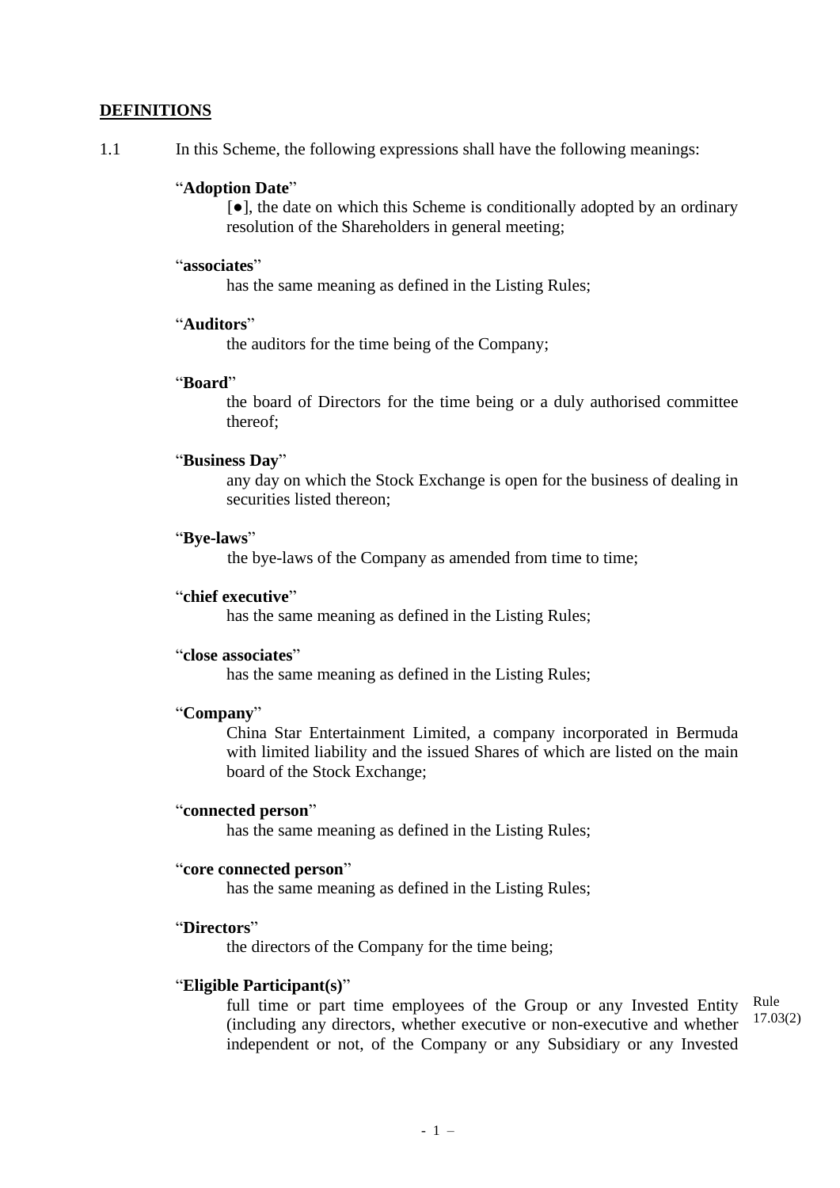## **DEFINITIONS**

1.1 In this Scheme, the following expressions shall have the following meanings:

## "**Adoption Date**"

[**●**], the date on which this Scheme is conditionally adopted by an ordinary resolution of the Shareholders in general meeting;

## "**associates**"

has the same meaning as defined in the Listing Rules;

## "**Auditors**"

the auditors for the time being of the Company;

## "**Board**"

the board of Directors for the time being or a duly authorised committee thereof;

## "**Business Day**"

any day on which the Stock Exchange is open for the business of dealing in securities listed thereon;

#### "**Bye-laws**"

the bye-laws of the Company as amended from time to time;

# "**chief executive**"

has the same meaning as defined in the Listing Rules;

#### "**close associates**"

has the same meaning as defined in the Listing Rules;

## "**Company**"

China Star Entertainment Limited, a company incorporated in Bermuda with limited liability and the issued Shares of which are listed on the main board of the Stock Exchange;

### "**connected person**"

has the same meaning as defined in the Listing Rules;

### "**core connected person**"

has the same meaning as defined in the Listing Rules;

# "**Directors**"

the directors of the Company for the time being;

## "**Eligible Participant(s)**"

full time or part time employees of the Group or any Invested Entity (including any directors, whether executive or non-executive and whether independent or not, of the Company or any Subsidiary or any Invested Rule 17.03(2)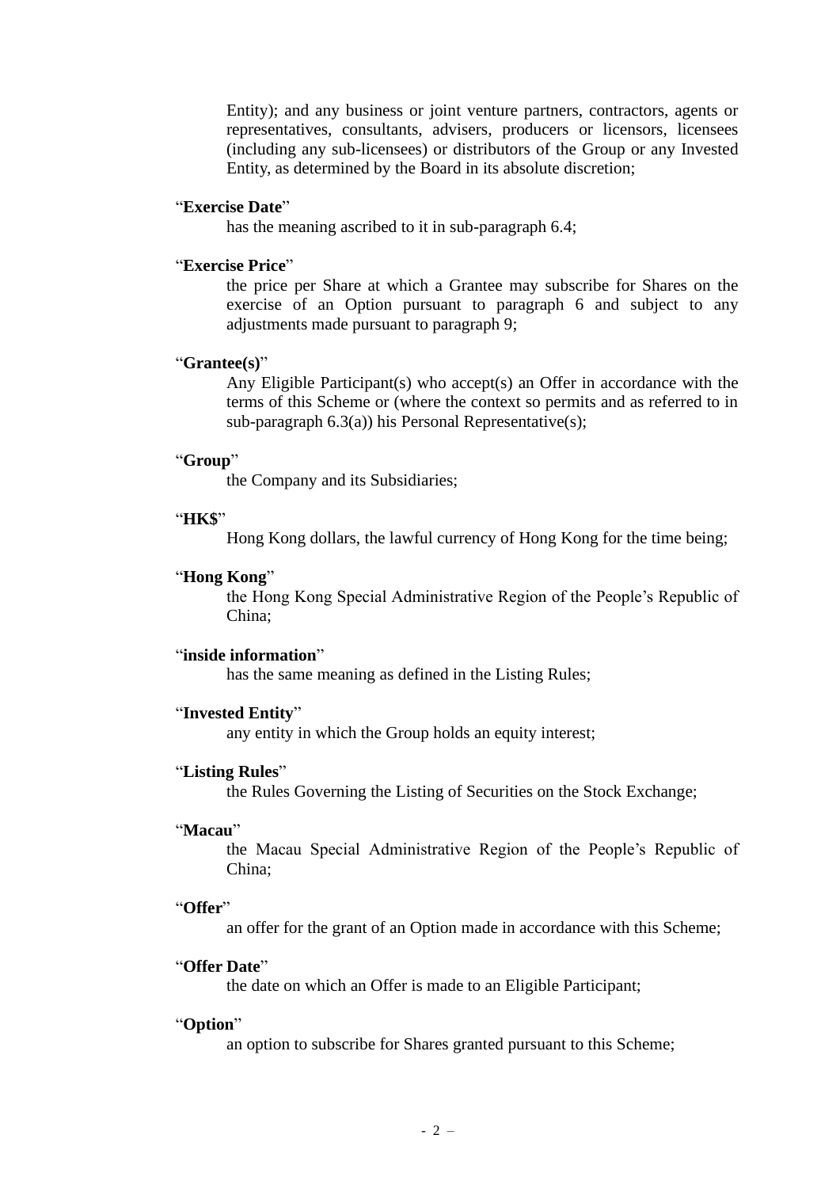Entity); and any business or joint venture partners, contractors, agents or representatives, consultants, advisers, producers or licensors, licensees (including any sub-licensees) or distributors of the Group or any Invested Entity, as determined by the Board in its absolute discretion;

#### "**Exercise Date**"

has the meaning ascribed to it in sub-paragraph 6.4;

#### "**Exercise Price**"

the price per Share at which a Grantee may subscribe for Shares on the exercise of an Option pursuant to paragraph 6 and subject to any adjustments made pursuant to paragraph 9;

## "**Grantee(s)**"

Any Eligible Participant(s) who accept(s) an Offer in accordance with the terms of this Scheme or (where the context so permits and as referred to in sub-paragraph 6.3(a)) his Personal Representative(s);

## "**Group**"

the Company and its Subsidiaries;

## "**HK\$**"

Hong Kong dollars, the lawful currency of Hong Kong for the time being;

### "**Hong Kong**"

the Hong Kong Special Administrative Region of the People's Republic of China;

#### "**inside information**"

has the same meaning as defined in the Listing Rules;

### "**Invested Entity**"

any entity in which the Group holds an equity interest;

#### "**Listing Rules**"

the Rules Governing the Listing of Securities on the Stock Exchange;

### "**Macau**"

the Macau Special Administrative Region of the People's Republic of China;

#### "**Offer**"

an offer for the grant of an Option made in accordance with this Scheme;

## "**Offer Date**"

the date on which an Offer is made to an Eligible Participant;

#### "**Option**"

an option to subscribe for Shares granted pursuant to this Scheme;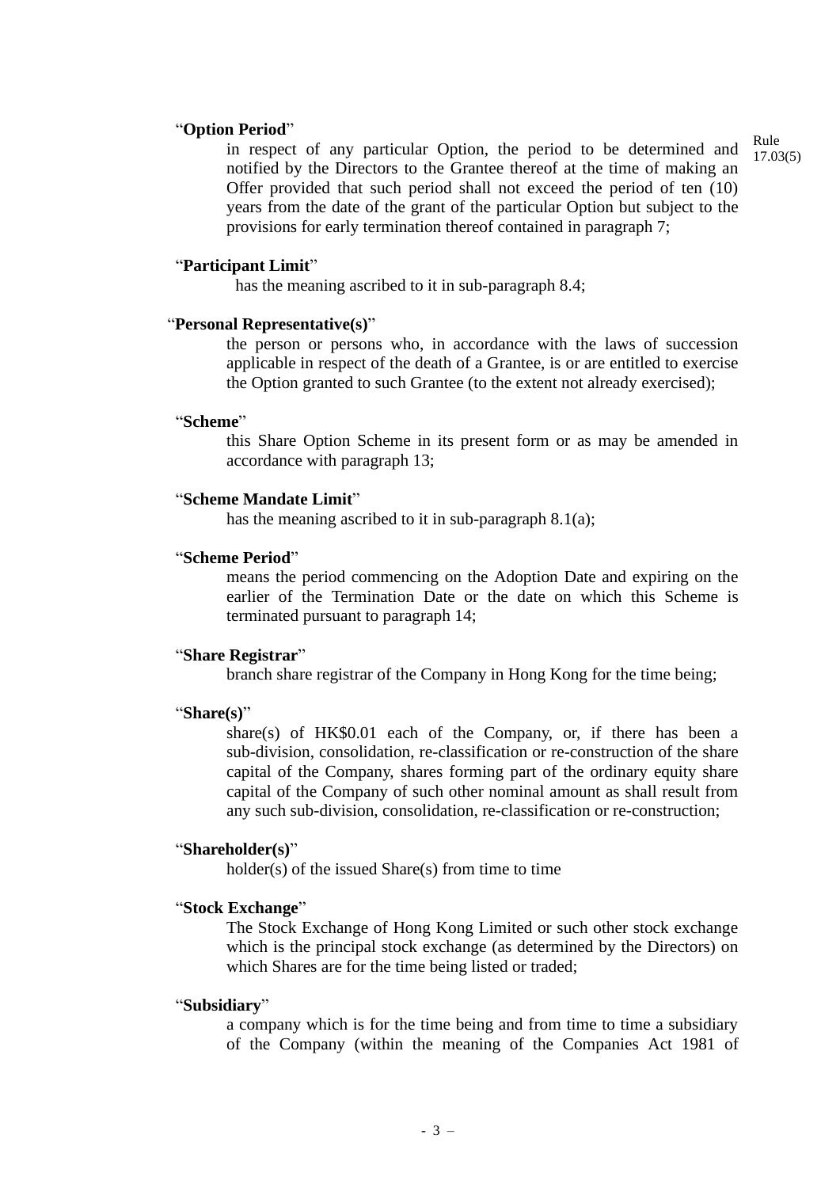### "**Option Period**"

in respect of any particular Option, the period to be determined and notified by the Directors to the Grantee thereof at the time of making an Offer provided that such period shall not exceed the period of ten (10) years from the date of the grant of the particular Option but subject to the provisions for early termination thereof contained in paragraph 7;

#### "**Participant Limit**"

has the meaning ascribed to it in sub-paragraph 8.4;

#### "**Personal Representative(s)**"

the person or persons who, in accordance with the laws of succession applicable in respect of the death of a Grantee, is or are entitled to exercise the Option granted to such Grantee (to the extent not already exercised);

### "**Scheme**"

this Share Option Scheme in its present form or as may be amended in accordance with paragraph 13;

### "**Scheme Mandate Limit**"

has the meaning ascribed to it in sub-paragraph 8.1(a);

## "**Scheme Period**"

means the period commencing on the Adoption Date and expiring on the earlier of the Termination Date or the date on which this Scheme is terminated pursuant to paragraph 14;

#### "**Share Registrar**"

branch share registrar of the Company in Hong Kong for the time being;

#### "**Share(s)**"

share(s) of HK\$0.01 each of the Company, or, if there has been a sub-division, consolidation, re-classification or re-construction of the share capital of the Company, shares forming part of the ordinary equity share capital of the Company of such other nominal amount as shall result from any such sub-division, consolidation, re-classification or re-construction;

## "**Shareholder(s)**"

holder(s) of the issued Share(s) from time to time

#### "**Stock Exchange**"

The Stock Exchange of Hong Kong Limited or such other stock exchange which is the principal stock exchange (as determined by the Directors) on which Shares are for the time being listed or traded;

## "**Subsidiary**"

a company which is for the time being and from time to time a subsidiary of the Company (within the meaning of the Companies Act 1981 of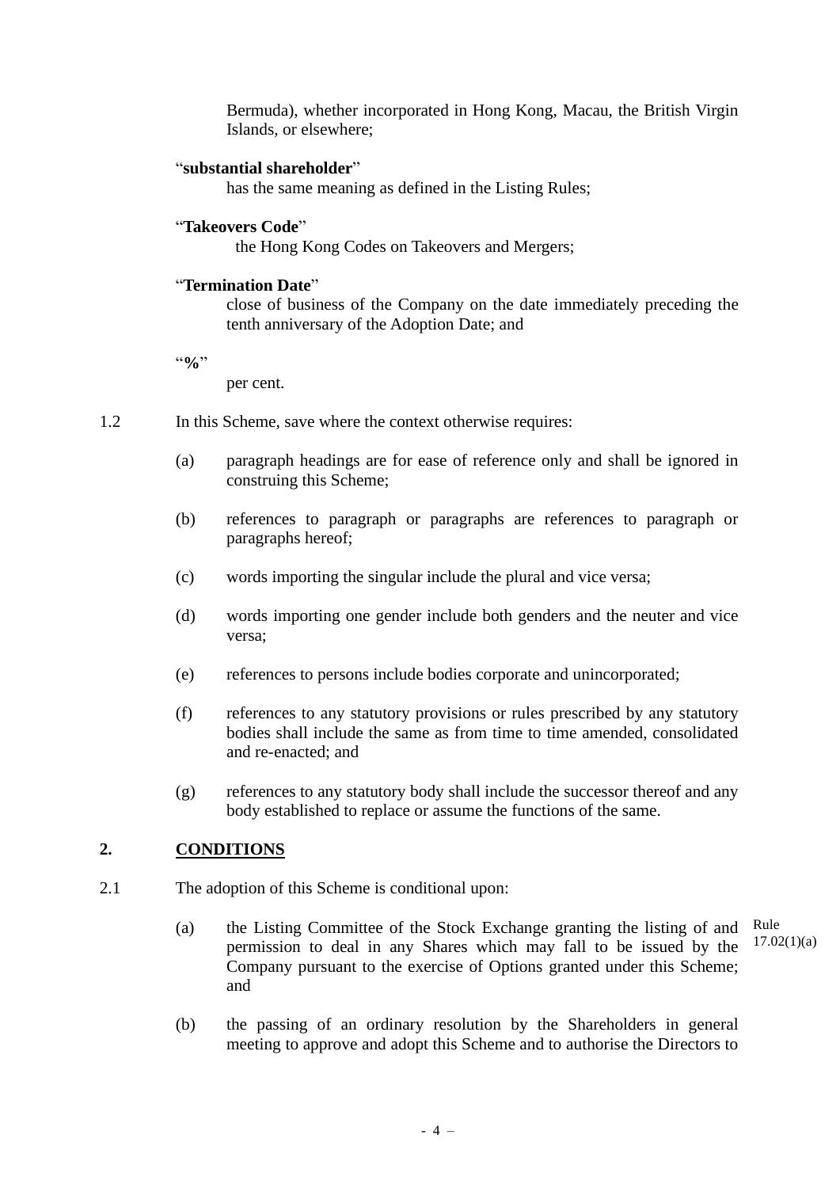Bermuda), whether incorporated in Hong Kong, Macau, the British Virgin Islands, or elsewhere;

## "**substantial shareholder**"

has the same meaning as defined in the Listing Rules;

## "**Takeovers Code**"

the Hong Kong Codes on Takeovers and Mergers;

## "**Termination Date**"

close of business of the Company on the date immediately preceding the tenth anniversary of the Adoption Date; and

"**%**"

per cent.

- 1.2 In this Scheme, save where the context otherwise requires:
	- (a) paragraph headings are for ease of reference only and shall be ignored in construing this Scheme;
	- (b) references to paragraph or paragraphs are references to paragraph or paragraphs hereof;
	- (c) words importing the singular include the plural and vice versa;
	- (d) words importing one gender include both genders and the neuter and vice versa;
	- (e) references to persons include bodies corporate and unincorporated;
	- (f) references to any statutory provisions or rules prescribed by any statutory bodies shall include the same as from time to time amended, consolidated and re-enacted; and
	- (g) references to any statutory body shall include the successor thereof and any body established to replace or assume the functions of the same.

# **2. CONDITIONS**

- 2.1 The adoption of this Scheme is conditional upon:
	- (a) the Listing Committee of the Stock Exchange granting the listing of and permission to deal in any Shares which may fall to be issued by the Company pursuant to the exercise of Options granted under this Scheme; and Rule

 $17.02(1)(a)$ 

(b) the passing of an ordinary resolution by the Shareholders in general meeting to approve and adopt this Scheme and to authorise the Directors to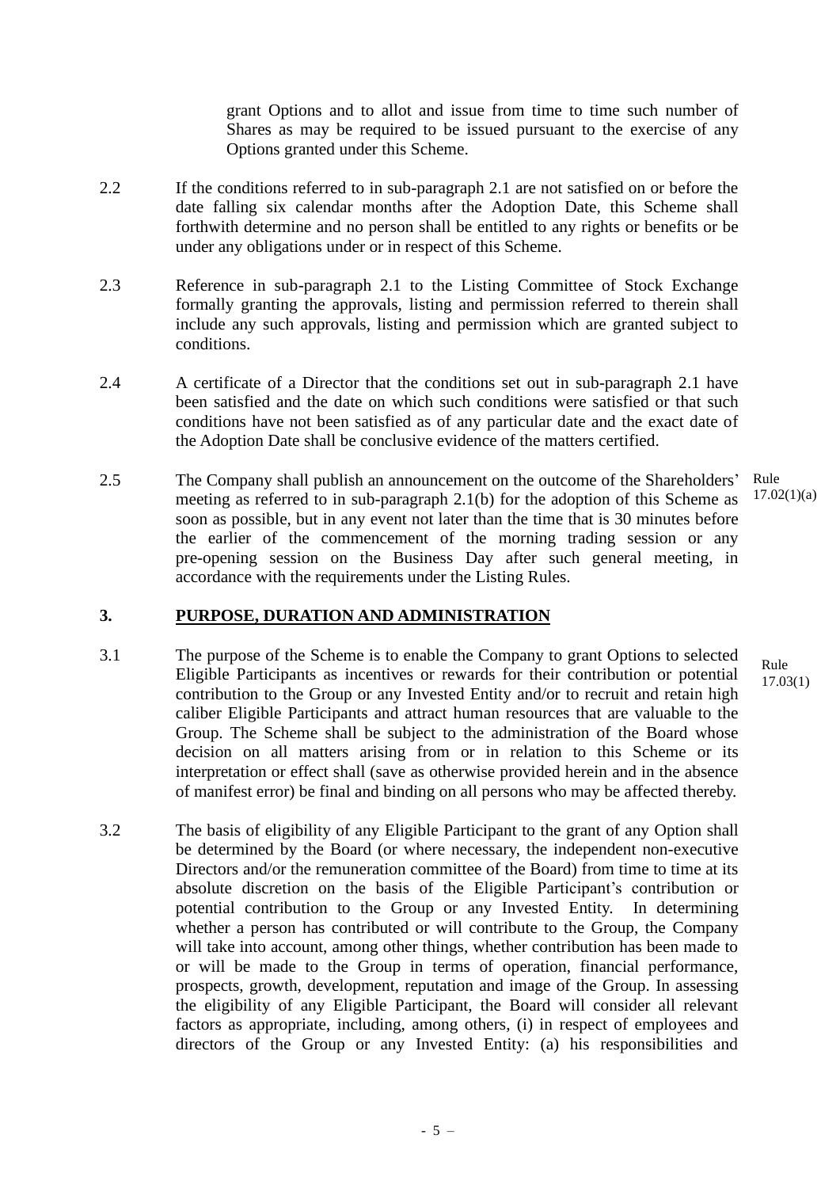grant Options and to allot and issue from time to time such number of Shares as may be required to be issued pursuant to the exercise of any Options granted under this Scheme.

- 2.2 If the conditions referred to in sub-paragraph 2.1 are not satisfied on or before the date falling six calendar months after the Adoption Date, this Scheme shall forthwith determine and no person shall be entitled to any rights or benefits or be under any obligations under or in respect of this Scheme.
- 2.3 Reference in sub-paragraph 2.1 to the Listing Committee of Stock Exchange formally granting the approvals, listing and permission referred to therein shall include any such approvals, listing and permission which are granted subject to conditions.
- 2.4 A certificate of a Director that the conditions set out in sub-paragraph 2.1 have been satisfied and the date on which such conditions were satisfied or that such conditions have not been satisfied as of any particular date and the exact date of the Adoption Date shall be conclusive evidence of the matters certified.
- 2.5 The Company shall publish an announcement on the outcome of the Shareholders' meeting as referred to in sub-paragraph 2.1(b) for the adoption of this Scheme as soon as possible, but in any event not later than the time that is 30 minutes before the earlier of the commencement of the morning trading session or any pre-opening session on the Business Day after such general meeting, in accordance with the requirements under the Listing Rules. Rule  $17.02(1)(a)$

# **3. PURPOSE, DURATION AND ADMINISTRATION**

- 3.1 The purpose of the Scheme is to enable the Company to grant Options to selected Eligible Participants as incentives or rewards for their contribution or potential contribution to the Group or any Invested Entity and/or to recruit and retain high caliber Eligible Participants and attract human resources that are valuable to the Group. The Scheme shall be subject to the administration of the Board whose decision on all matters arising from or in relation to this Scheme or its interpretation or effect shall (save as otherwise provided herein and in the absence of manifest error) be final and binding on all persons who may be affected thereby.
- 3.2 The basis of eligibility of any Eligible Participant to the grant of any Option shall be determined by the Board (or where necessary, the independent non-executive Directors and/or the remuneration committee of the Board) from time to time at its absolute discretion on the basis of the Eligible Participant's contribution or potential contribution to the Group or any Invested Entity. In determining whether a person has contributed or will contribute to the Group, the Company will take into account, among other things, whether contribution has been made to or will be made to the Group in terms of operation, financial performance, prospects, growth, development, reputation and image of the Group. In assessing the eligibility of any Eligible Participant, the Board will consider all relevant factors as appropriate, including, among others, (i) in respect of employees and directors of the Group or any Invested Entity: (a) his responsibilities and

Rule 17.03(1)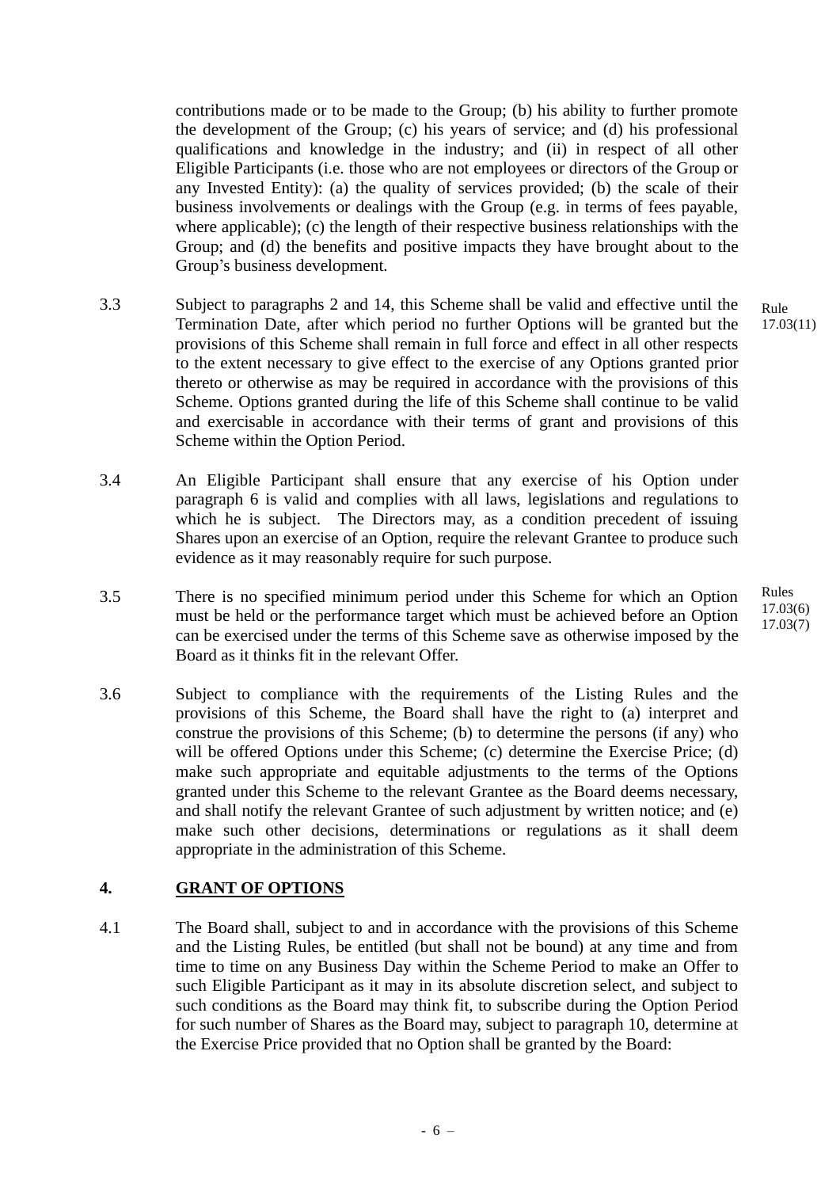contributions made or to be made to the Group; (b) his ability to further promote the development of the Group; (c) his years of service; and (d) his professional qualifications and knowledge in the industry; and (ii) in respect of all other Eligible Participants (i.e. those who are not employees or directors of the Group or any Invested Entity): (a) the quality of services provided; (b) the scale of their business involvements or dealings with the Group (e.g. in terms of fees payable, where applicable); (c) the length of their respective business relationships with the Group; and (d) the benefits and positive impacts they have brought about to the Group's business development.

- 3.3 Subject to paragraphs 2 and 14, this Scheme shall be valid and effective until the Termination Date, after which period no further Options will be granted but the provisions of this Scheme shall remain in full force and effect in all other respects to the extent necessary to give effect to the exercise of any Options granted prior thereto or otherwise as may be required in accordance with the provisions of this Scheme. Options granted during the life of this Scheme shall continue to be valid and exercisable in accordance with their terms of grant and provisions of this Scheme within the Option Period.
- 3.4 An Eligible Participant shall ensure that any exercise of his Option under paragraph 6 is valid and complies with all laws, legislations and regulations to which he is subject. The Directors may, as a condition precedent of issuing Shares upon an exercise of an Option, require the relevant Grantee to produce such evidence as it may reasonably require for such purpose.
- 3.5 There is no specified minimum period under this Scheme for which an Option must be held or the performance target which must be achieved before an Option can be exercised under the terms of this Scheme save as otherwise imposed by the Board as it thinks fit in the relevant Offer.
- 3.6 Subject to compliance with the requirements of the Listing Rules and the provisions of this Scheme, the Board shall have the right to (a) interpret and construe the provisions of this Scheme; (b) to determine the persons (if any) who will be offered Options under this Scheme; (c) determine the Exercise Price; (d) make such appropriate and equitable adjustments to the terms of the Options granted under this Scheme to the relevant Grantee as the Board deems necessary, and shall notify the relevant Grantee of such adjustment by written notice; and (e) make such other decisions, determinations or regulations as it shall deem appropriate in the administration of this Scheme.

# **4. GRANT OF OPTIONS**

4.1 The Board shall, subject to and in accordance with the provisions of this Scheme and the Listing Rules, be entitled (but shall not be bound) at any time and from time to time on any Business Day within the Scheme Period to make an Offer to such Eligible Participant as it may in its absolute discretion select, and subject to such conditions as the Board may think fit, to subscribe during the Option Period for such number of Shares as the Board may, subject to paragraph 10, determine at the Exercise Price provided that no Option shall be granted by the Board:

Rule 17.03(11)

Rules 17.03(6) 17.03(7)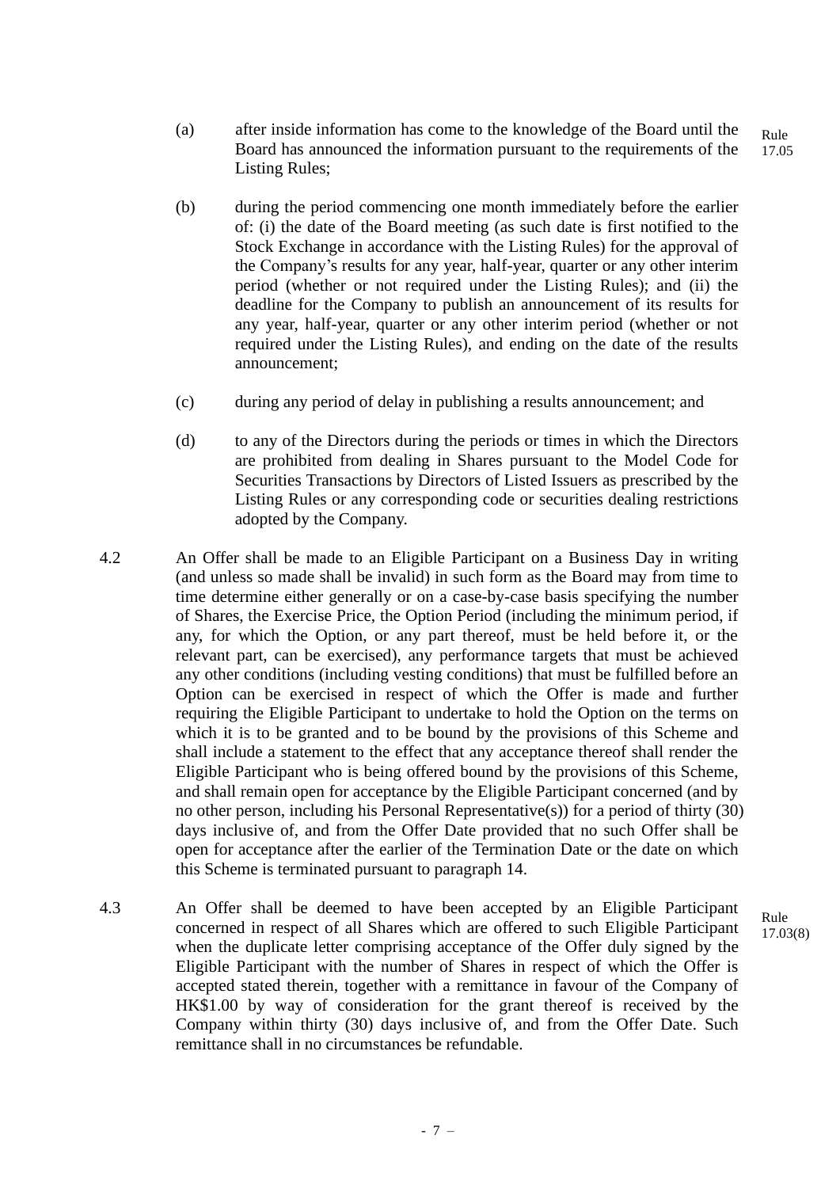- (a) after inside information has come to the knowledge of the Board until the Board has announced the information pursuant to the requirements of the Listing Rules; Rule 17.05
- (b) during the period commencing one month immediately before the earlier of: (i) the date of the Board meeting (as such date is first notified to the Stock Exchange in accordance with the Listing Rules) for the approval of the Company's results for any year, half-year, quarter or any other interim period (whether or not required under the Listing Rules); and (ii) the deadline for the Company to publish an announcement of its results for any year, half-year, quarter or any other interim period (whether or not required under the Listing Rules), and ending on the date of the results announcement;
- (c) during any period of delay in publishing a results announcement; and
- (d) to any of the Directors during the periods or times in which the Directors are prohibited from dealing in Shares pursuant to the Model Code for Securities Transactions by Directors of Listed Issuers as prescribed by the Listing Rules or any corresponding code or securities dealing restrictions adopted by the Company.
- 4.2 An Offer shall be made to an Eligible Participant on a Business Day in writing (and unless so made shall be invalid) in such form as the Board may from time to time determine either generally or on a case-by-case basis specifying the number of Shares, the Exercise Price, the Option Period (including the minimum period, if any, for which the Option, or any part thereof, must be held before it, or the relevant part, can be exercised), any performance targets that must be achieved any other conditions (including vesting conditions) that must be fulfilled before an Option can be exercised in respect of which the Offer is made and further requiring the Eligible Participant to undertake to hold the Option on the terms on which it is to be granted and to be bound by the provisions of this Scheme and shall include a statement to the effect that any acceptance thereof shall render the Eligible Participant who is being offered bound by the provisions of this Scheme, and shall remain open for acceptance by the Eligible Participant concerned (and by no other person, including his Personal Representative(s)) for a period of thirty (30) days inclusive of, and from the Offer Date provided that no such Offer shall be open for acceptance after the earlier of the Termination Date or the date on which this Scheme is terminated pursuant to paragraph 14.
- 4.3 An Offer shall be deemed to have been accepted by an Eligible Participant concerned in respect of all Shares which are offered to such Eligible Participant when the duplicate letter comprising acceptance of the Offer duly signed by the Eligible Participant with the number of Shares in respect of which the Offer is accepted stated therein, together with a remittance in favour of the Company of HK\$1.00 by way of consideration for the grant thereof is received by the Company within thirty (30) days inclusive of, and from the Offer Date. Such remittance shall in no circumstances be refundable.

Rule 17.03(8)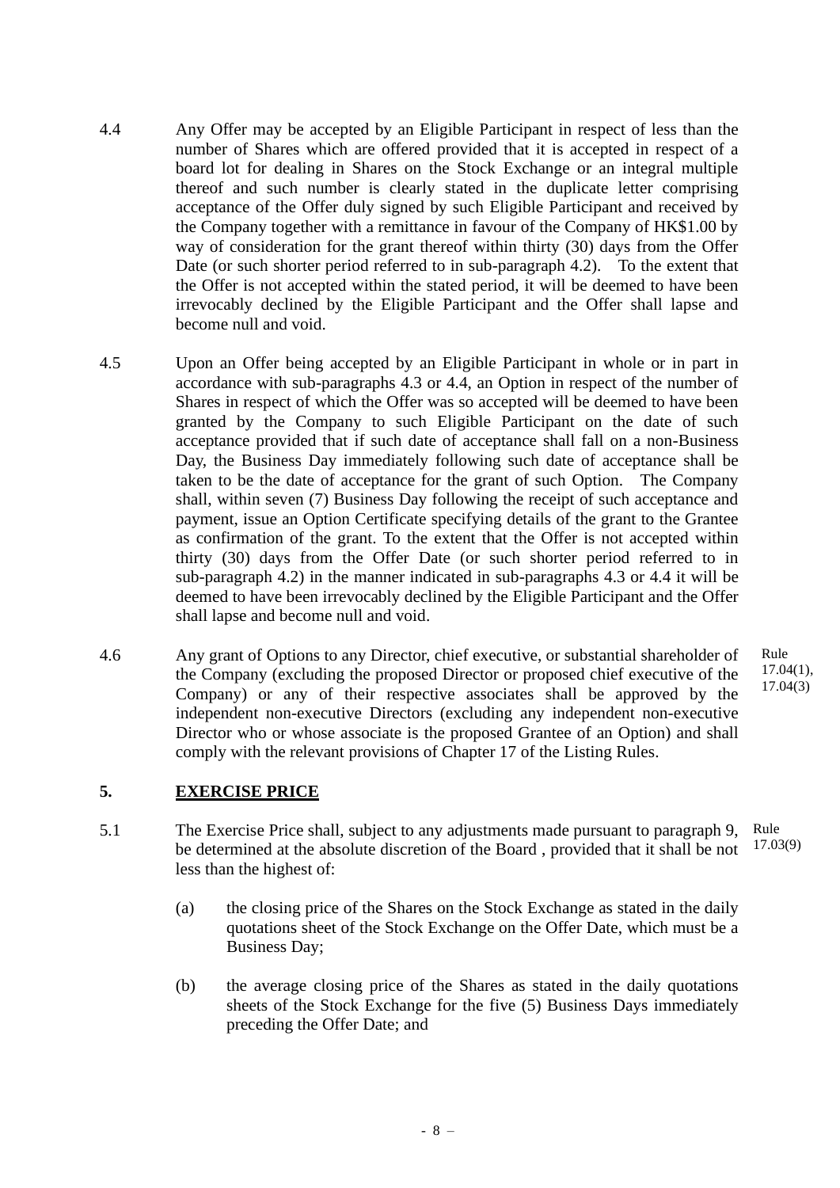- 4.4 Any Offer may be accepted by an Eligible Participant in respect of less than the number of Shares which are offered provided that it is accepted in respect of a board lot for dealing in Shares on the Stock Exchange or an integral multiple thereof and such number is clearly stated in the duplicate letter comprising acceptance of the Offer duly signed by such Eligible Participant and received by the Company together with a remittance in favour of the Company of HK\$1.00 by way of consideration for the grant thereof within thirty (30) days from the Offer Date (or such shorter period referred to in sub-paragraph 4.2). To the extent that the Offer is not accepted within the stated period, it will be deemed to have been irrevocably declined by the Eligible Participant and the Offer shall lapse and become null and void.
- 4.5 Upon an Offer being accepted by an Eligible Participant in whole or in part in accordance with sub-paragraphs 4.3 or 4.4, an Option in respect of the number of Shares in respect of which the Offer was so accepted will be deemed to have been granted by the Company to such Eligible Participant on the date of such acceptance provided that if such date of acceptance shall fall on a non-Business Day, the Business Day immediately following such date of acceptance shall be taken to be the date of acceptance for the grant of such Option. The Company shall, within seven (7) Business Day following the receipt of such acceptance and payment, issue an Option Certificate specifying details of the grant to the Grantee as confirmation of the grant. To the extent that the Offer is not accepted within thirty (30) days from the Offer Date (or such shorter period referred to in sub-paragraph 4.2) in the manner indicated in sub-paragraphs 4.3 or 4.4 it will be deemed to have been irrevocably declined by the Eligible Participant and the Offer shall lapse and become null and void.
- 4.6 Any grant of Options to any Director, chief executive, or substantial shareholder of the Company (excluding the proposed Director or proposed chief executive of the Company) or any of their respective associates shall be approved by the independent non-executive Directors (excluding any independent non-executive Director who or whose associate is the proposed Grantee of an Option) and shall comply with the relevant provisions of Chapter 17 of the Listing Rules.

# **5. EXERCISE PRICE**

- 5.1 The Exercise Price shall, subject to any adjustments made pursuant to paragraph 9, be determined at the absolute discretion of the Board , provided that it shall be not less than the highest of: Rule 17.03(9)
	- (a) the closing price of the Shares on the Stock Exchange as stated in the daily quotations sheet of the Stock Exchange on the Offer Date, which must be a Business Day;
	- (b) the average closing price of the Shares as stated in the daily quotations sheets of the Stock Exchange for the five (5) Business Days immediately preceding the Offer Date; and

- 8 –

Rule 17.04(1), 17.04(3)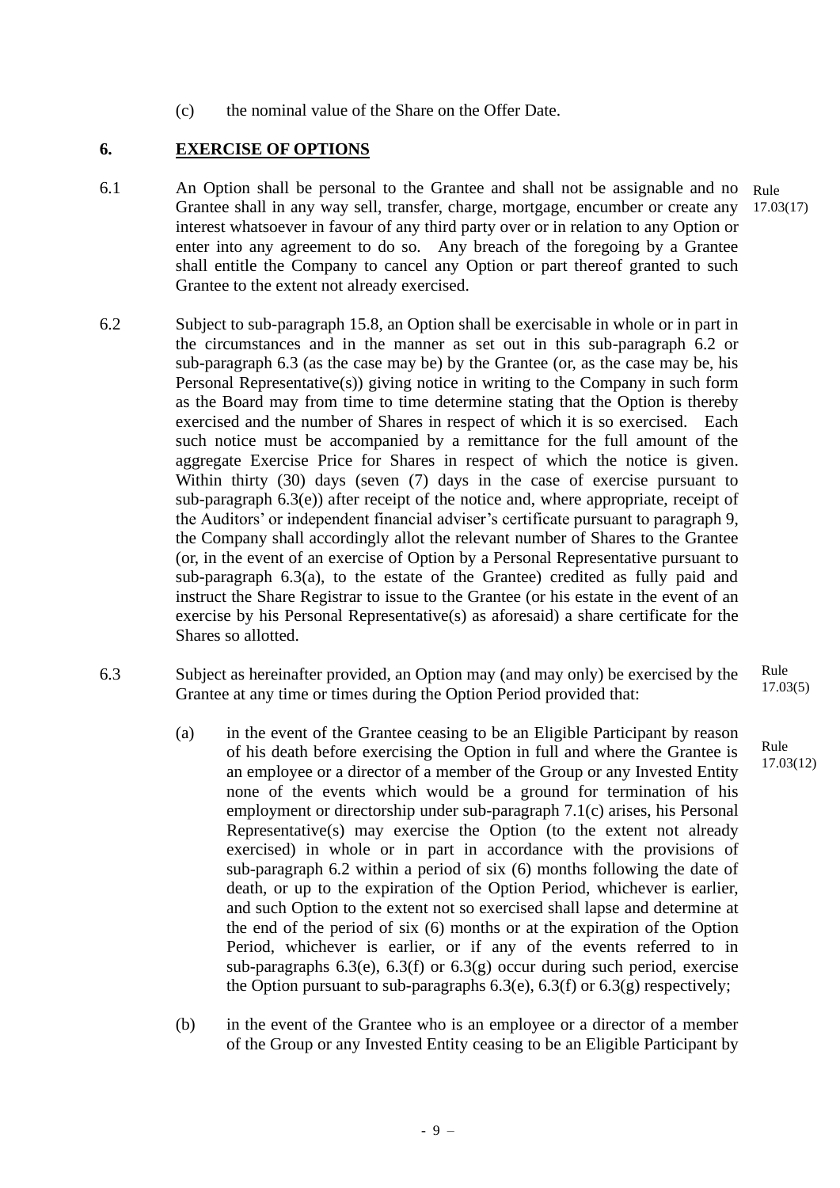(c) the nominal value of the Share on the Offer Date.

# **6. EXERCISE OF OPTIONS**

- 6.1 An Option shall be personal to the Grantee and shall not be assignable and no Grantee shall in any way sell, transfer, charge, mortgage, encumber or create any interest whatsoever in favour of any third party over or in relation to any Option or enter into any agreement to do so. Any breach of the foregoing by a Grantee shall entitle the Company to cancel any Option or part thereof granted to such Grantee to the extent not already exercised. Rule
- 6.2 Subject to sub-paragraph 15.8, an Option shall be exercisable in whole or in part in the circumstances and in the manner as set out in this sub-paragraph 6.2 or sub-paragraph 6.3 (as the case may be) by the Grantee (or, as the case may be, his Personal Representative(s)) giving notice in writing to the Company in such form as the Board may from time to time determine stating that the Option is thereby exercised and the number of Shares in respect of which it is so exercised. Each such notice must be accompanied by a remittance for the full amount of the aggregate Exercise Price for Shares in respect of which the notice is given. Within thirty (30) days (seven (7) days in the case of exercise pursuant to sub-paragraph  $6.3(e)$ ) after receipt of the notice and, where appropriate, receipt of the Auditors' or independent financial adviser's certificate pursuant to paragraph 9, the Company shall accordingly allot the relevant number of Shares to the Grantee (or, in the event of an exercise of Option by a Personal Representative pursuant to sub-paragraph 6.3(a), to the estate of the Grantee) credited as fully paid and instruct the Share Registrar to issue to the Grantee (or his estate in the event of an exercise by his Personal Representative(s) as aforesaid) a share certificate for the Shares so allotted.
- 6.3 Subject as hereinafter provided, an Option may (and may only) be exercised by the Grantee at any time or times during the Option Period provided that:
	- (a) in the event of the Grantee ceasing to be an Eligible Participant by reason of his death before exercising the Option in full and where the Grantee is an employee or a director of a member of the Group or any Invested Entity none of the events which would be a ground for termination of his employment or directorship under sub-paragraph 7.1(c) arises, his Personal Representative(s) may exercise the Option (to the extent not already exercised) in whole or in part in accordance with the provisions of sub-paragraph 6.2 within a period of six (6) months following the date of death, or up to the expiration of the Option Period, whichever is earlier, and such Option to the extent not so exercised shall lapse and determine at the end of the period of six (6) months or at the expiration of the Option Period, whichever is earlier, or if any of the events referred to in sub-paragraphs  $6.3(e)$ ,  $6.3(f)$  or  $6.3(g)$  occur during such period, exercise the Option pursuant to sub-paragraphs  $6.3(e)$ ,  $6.3(f)$  or  $6.3(g)$  respectively;
	- (b) in the event of the Grantee who is an employee or a director of a member of the Group or any Invested Entity ceasing to be an Eligible Participant by

- 9 –

Rule 17.03(5)

Rule 17.03(12)

17.03(17)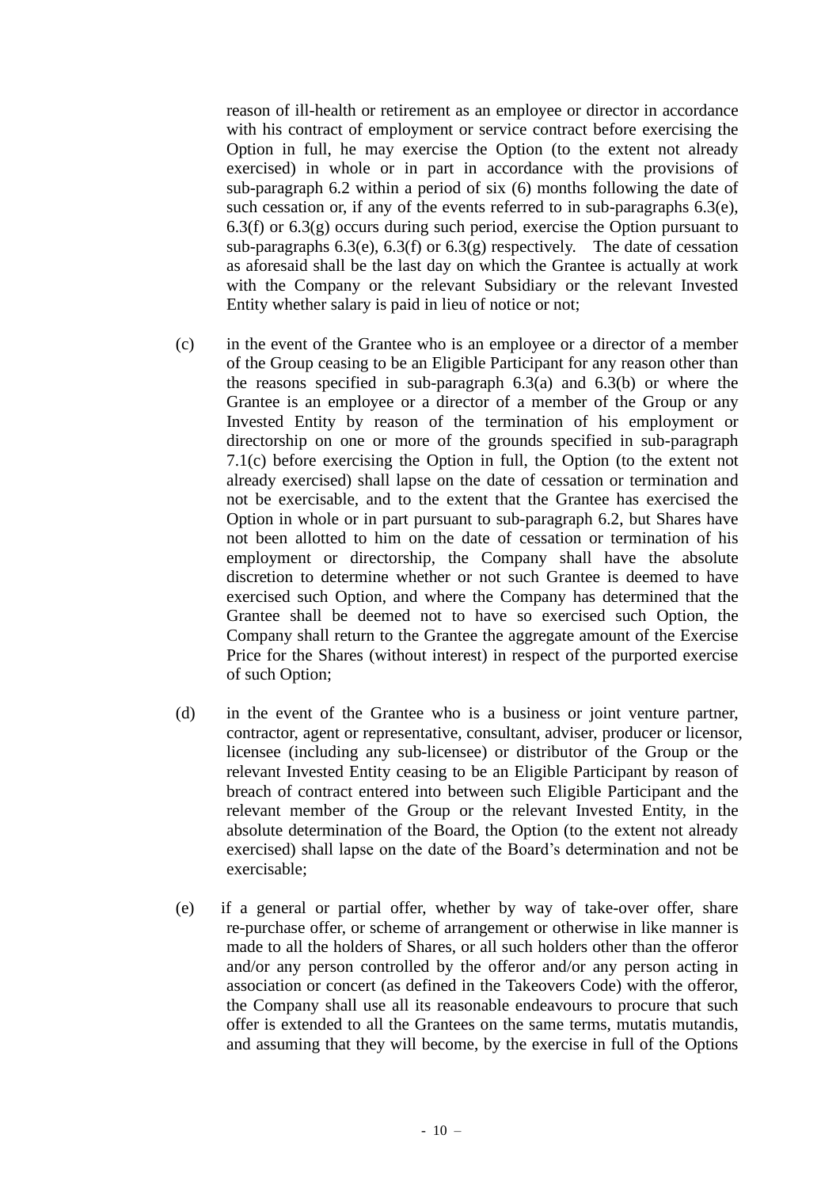reason of ill-health or retirement as an employee or director in accordance with his contract of employment or service contract before exercising the Option in full, he may exercise the Option (to the extent not already exercised) in whole or in part in accordance with the provisions of sub-paragraph 6.2 within a period of six (6) months following the date of such cessation or, if any of the events referred to in sub-paragraphs 6.3(e),  $6.3(f)$  or  $6.3(g)$  occurs during such period, exercise the Option pursuant to sub-paragraphs  $6.3(e)$ ,  $6.3(f)$  or  $6.3(g)$  respectively. The date of cessation as aforesaid shall be the last day on which the Grantee is actually at work with the Company or the relevant Subsidiary or the relevant Invested Entity whether salary is paid in lieu of notice or not;

- (c) in the event of the Grantee who is an employee or a director of a member of the Group ceasing to be an Eligible Participant for any reason other than the reasons specified in sub-paragraph 6.3(a) and 6.3(b) or where the Grantee is an employee or a director of a member of the Group or any Invested Entity by reason of the termination of his employment or directorship on one or more of the grounds specified in sub-paragraph 7.1(c) before exercising the Option in full, the Option (to the extent not already exercised) shall lapse on the date of cessation or termination and not be exercisable, and to the extent that the Grantee has exercised the Option in whole or in part pursuant to sub-paragraph 6.2, but Shares have not been allotted to him on the date of cessation or termination of his employment or directorship, the Company shall have the absolute discretion to determine whether or not such Grantee is deemed to have exercised such Option, and where the Company has determined that the Grantee shall be deemed not to have so exercised such Option, the Company shall return to the Grantee the aggregate amount of the Exercise Price for the Shares (without interest) in respect of the purported exercise of such Option;
- (d) in the event of the Grantee who is a business or joint venture partner, contractor, agent or representative, consultant, adviser, producer or licensor, licensee (including any sub-licensee) or distributor of the Group or the relevant Invested Entity ceasing to be an Eligible Participant by reason of breach of contract entered into between such Eligible Participant and the relevant member of the Group or the relevant Invested Entity, in the absolute determination of the Board, the Option (to the extent not already exercised) shall lapse on the date of the Board's determination and not be exercisable;
- (e) if a general or partial offer, whether by way of take-over offer, share re-purchase offer, or scheme of arrangement or otherwise in like manner is made to all the holders of Shares, or all such holders other than the offeror and/or any person controlled by the offeror and/or any person acting in association or concert (as defined in the Takeovers Code) with the offeror, the Company shall use all its reasonable endeavours to procure that such offer is extended to all the Grantees on the same terms, mutatis mutandis, and assuming that they will become, by the exercise in full of the Options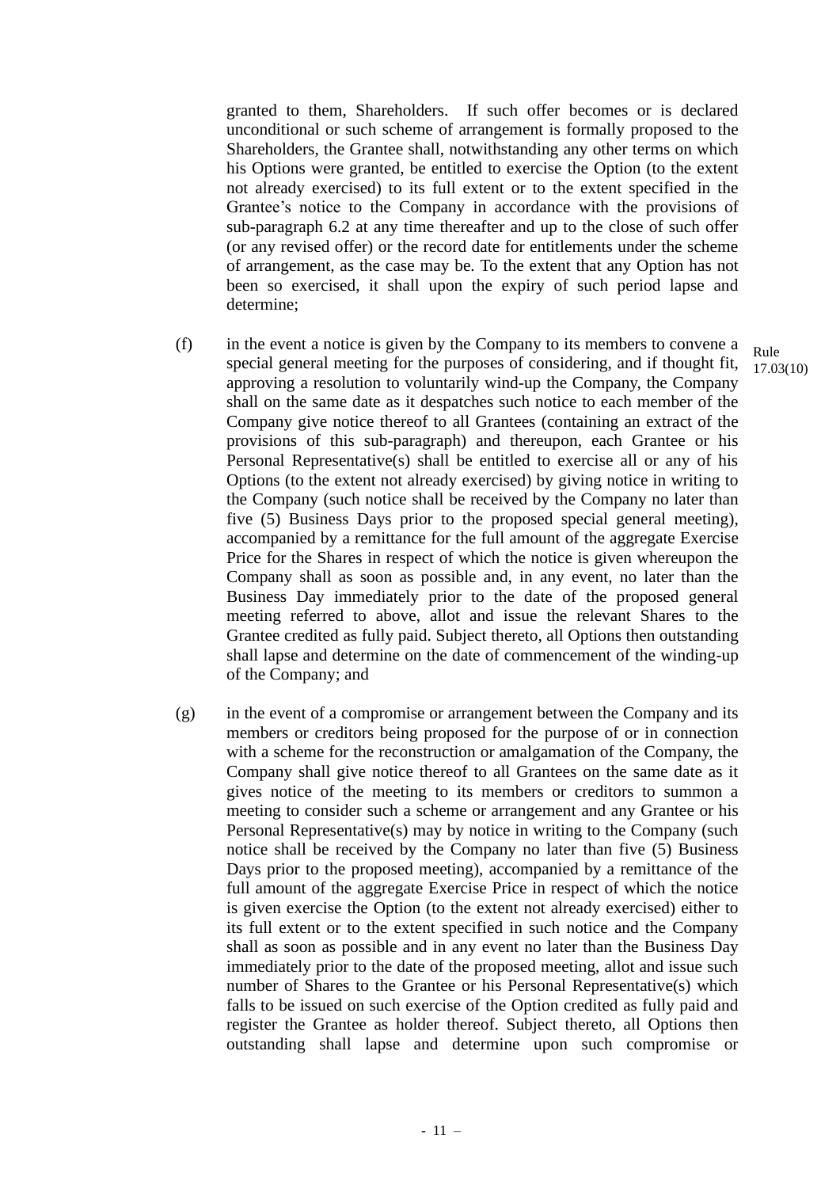granted to them, Shareholders. If such offer becomes or is declared unconditional or such scheme of arrangement is formally proposed to the Shareholders, the Grantee shall, notwithstanding any other terms on which his Options were granted, be entitled to exercise the Option (to the extent not already exercised) to its full extent or to the extent specified in the Grantee's notice to the Company in accordance with the provisions of sub-paragraph 6.2 at any time thereafter and up to the close of such offer (or any revised offer) or the record date for entitlements under the scheme of arrangement, as the case may be. To the extent that any Option has not been so exercised, it shall upon the expiry of such period lapse and determine;

- (f) in the event a notice is given by the Company to its members to convene a special general meeting for the purposes of considering, and if thought fit, approving a resolution to voluntarily wind-up the Company, the Company shall on the same date as it despatches such notice to each member of the Company give notice thereof to all Grantees (containing an extract of the provisions of this sub-paragraph) and thereupon, each Grantee or his Personal Representative(s) shall be entitled to exercise all or any of his Options (to the extent not already exercised) by giving notice in writing to the Company (such notice shall be received by the Company no later than five (5) Business Days prior to the proposed special general meeting), accompanied by a remittance for the full amount of the aggregate Exercise Price for the Shares in respect of which the notice is given whereupon the Company shall as soon as possible and, in any event, no later than the Business Day immediately prior to the date of the proposed general meeting referred to above, allot and issue the relevant Shares to the Grantee credited as fully paid. Subject thereto, all Options then outstanding shall lapse and determine on the date of commencement of the winding-up of the Company; and
- (g) in the event of a compromise or arrangement between the Company and its members or creditors being proposed for the purpose of or in connection with a scheme for the reconstruction or amalgamation of the Company, the Company shall give notice thereof to all Grantees on the same date as it gives notice of the meeting to its members or creditors to summon a meeting to consider such a scheme or arrangement and any Grantee or his Personal Representative(s) may by notice in writing to the Company (such notice shall be received by the Company no later than five (5) Business Days prior to the proposed meeting), accompanied by a remittance of the full amount of the aggregate Exercise Price in respect of which the notice is given exercise the Option (to the extent not already exercised) either to its full extent or to the extent specified in such notice and the Company shall as soon as possible and in any event no later than the Business Day immediately prior to the date of the proposed meeting, allot and issue such number of Shares to the Grantee or his Personal Representative(s) which falls to be issued on such exercise of the Option credited as fully paid and register the Grantee as holder thereof. Subject thereto, all Options then outstanding shall lapse and determine upon such compromise or

Rule 17.03(10)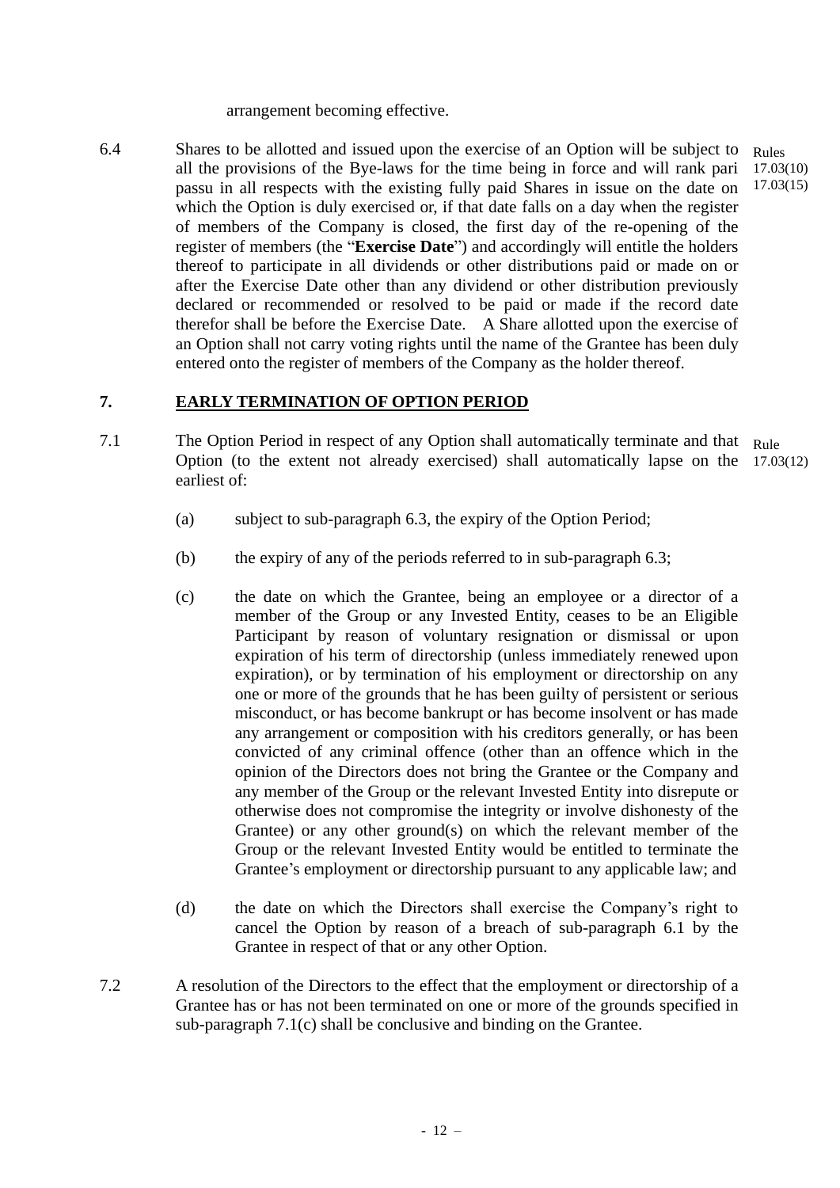arrangement becoming effective.

6.4 Shares to be allotted and issued upon the exercise of an Option will be subject to all the provisions of the Bye-laws for the time being in force and will rank pari passu in all respects with the existing fully paid Shares in issue on the date on which the Option is duly exercised or, if that date falls on a day when the register of members of the Company is closed, the first day of the re-opening of the register of members (the "**Exercise Date**") and accordingly will entitle the holders thereof to participate in all dividends or other distributions paid or made on or after the Exercise Date other than any dividend or other distribution previously declared or recommended or resolved to be paid or made if the record date therefor shall be before the Exercise Date. A Share allotted upon the exercise of an Option shall not carry voting rights until the name of the Grantee has been duly entered onto the register of members of the Company as the holder thereof. Rules 17.03(10) 17.03(15)

# **7. EARLY TERMINATION OF OPTION PERIOD**

- 7.1 The Option Period in respect of any Option shall automatically terminate and that Rule Option (to the extent not already exercised) shall automatically lapse on the 17.03(12)earliest of:
	- (a) subject to sub-paragraph 6.3, the expiry of the Option Period;
	- (b) the expiry of any of the periods referred to in sub-paragraph 6.3;
	- (c) the date on which the Grantee, being an employee or a director of a member of the Group or any Invested Entity, ceases to be an Eligible Participant by reason of voluntary resignation or dismissal or upon expiration of his term of directorship (unless immediately renewed upon expiration), or by termination of his employment or directorship on any one or more of the grounds that he has been guilty of persistent or serious misconduct, or has become bankrupt or has become insolvent or has made any arrangement or composition with his creditors generally, or has been convicted of any criminal offence (other than an offence which in the opinion of the Directors does not bring the Grantee or the Company and any member of the Group or the relevant Invested Entity into disrepute or otherwise does not compromise the integrity or involve dishonesty of the Grantee) or any other ground(s) on which the relevant member of the Group or the relevant Invested Entity would be entitled to terminate the Grantee's employment or directorship pursuant to any applicable law; and
	- (d) the date on which the Directors shall exercise the Company's right to cancel the Option by reason of a breach of sub-paragraph 6.1 by the Grantee in respect of that or any other Option.
- 7.2 A resolution of the Directors to the effect that the employment or directorship of a Grantee has or has not been terminated on one or more of the grounds specified in sub-paragraph 7.1(c) shall be conclusive and binding on the Grantee.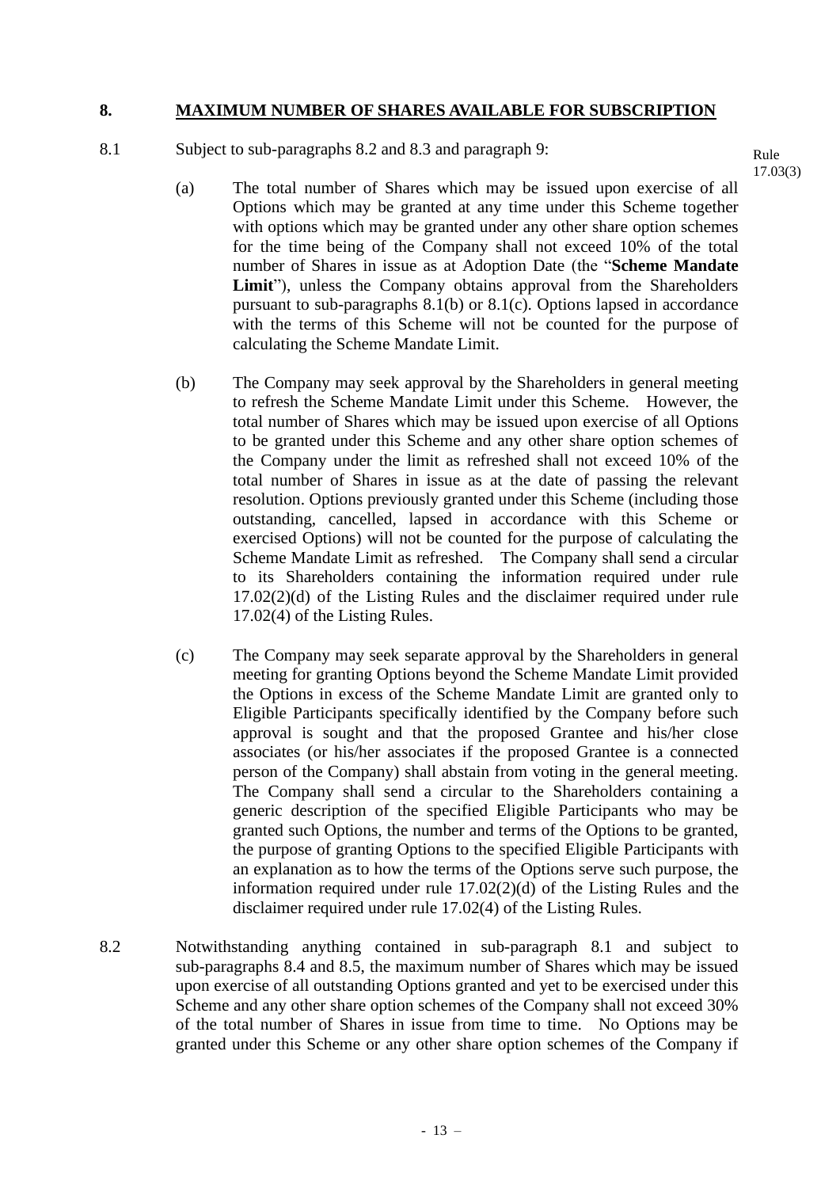## **8. MAXIMUM NUMBER OF SHARES AVAILABLE FOR SUBSCRIPTION**

8.1 Subject to sub-paragraphs 8.2 and 8.3 and paragraph 9:

(a) The total number of Shares which may be issued upon exercise of all Options which may be granted at any time under this Scheme together with options which may be granted under any other share option schemes for the time being of the Company shall not exceed 10% of the total number of Shares in issue as at Adoption Date (the "**Scheme Mandate**  Limit"), unless the Company obtains approval from the Shareholders pursuant to sub-paragraphs 8.1(b) or 8.1(c). Options lapsed in accordance with the terms of this Scheme will not be counted for the purpose of calculating the Scheme Mandate Limit.

- (b) The Company may seek approval by the Shareholders in general meeting to refresh the Scheme Mandate Limit under this Scheme. However, the total number of Shares which may be issued upon exercise of all Options to be granted under this Scheme and any other share option schemes of the Company under the limit as refreshed shall not exceed 10% of the total number of Shares in issue as at the date of passing the relevant resolution. Options previously granted under this Scheme (including those outstanding, cancelled, lapsed in accordance with this Scheme or exercised Options) will not be counted for the purpose of calculating the Scheme Mandate Limit as refreshed. The Company shall send a circular to its Shareholders containing the information required under rule 17.02(2)(d) of the Listing Rules and the disclaimer required under rule 17.02(4) of the Listing Rules.
- (c) The Company may seek separate approval by the Shareholders in general meeting for granting Options beyond the Scheme Mandate Limit provided the Options in excess of the Scheme Mandate Limit are granted only to Eligible Participants specifically identified by the Company before such approval is sought and that the proposed Grantee and his/her close associates (or his/her associates if the proposed Grantee is a connected person of the Company) shall abstain from voting in the general meeting. The Company shall send a circular to the Shareholders containing a generic description of the specified Eligible Participants who may be granted such Options, the number and terms of the Options to be granted, the purpose of granting Options to the specified Eligible Participants with an explanation as to how the terms of the Options serve such purpose, the information required under rule 17.02(2)(d) of the Listing Rules and the disclaimer required under rule 17.02(4) of the Listing Rules.
- 8.2 Notwithstanding anything contained in sub-paragraph 8.1 and subject to sub-paragraphs 8.4 and 8.5, the maximum number of Shares which may be issued upon exercise of all outstanding Options granted and yet to be exercised under this Scheme and any other share option schemes of the Company shall not exceed 30% of the total number of Shares in issue from time to time. No Options may be granted under this Scheme or any other share option schemes of the Company if

Rule 17.03(3)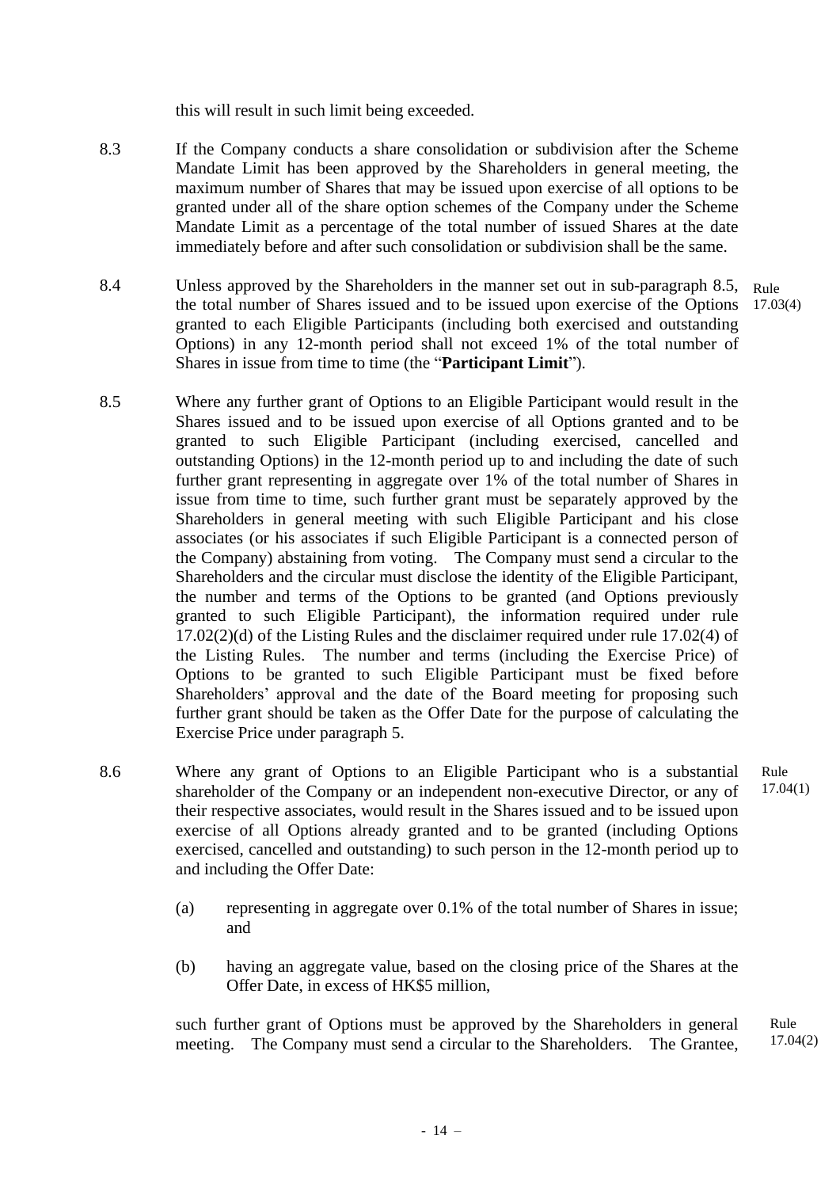this will result in such limit being exceeded.

- 8.3 If the Company conducts a share consolidation or subdivision after the Scheme Mandate Limit has been approved by the Shareholders in general meeting, the maximum number of Shares that may be issued upon exercise of all options to be granted under all of the share option schemes of the Company under the Scheme Mandate Limit as a percentage of the total number of issued Shares at the date immediately before and after such consolidation or subdivision shall be the same.
- 8.4 Unless approved by the Shareholders in the manner set out in sub-paragraph 8.5, Rule the total number of Shares issued and to be issued upon exercise of the Options 17.03(4) granted to each Eligible Participants (including both exercised and outstanding Options) in any 12-month period shall not exceed 1% of the total number of Shares in issue from time to time (the "**Participant Limit**").
- 8.5 Where any further grant of Options to an Eligible Participant would result in the Shares issued and to be issued upon exercise of all Options granted and to be granted to such Eligible Participant (including exercised, cancelled and outstanding Options) in the 12-month period up to and including the date of such further grant representing in aggregate over 1% of the total number of Shares in issue from time to time, such further grant must be separately approved by the Shareholders in general meeting with such Eligible Participant and his close associates (or his associates if such Eligible Participant is a connected person of the Company) abstaining from voting. The Company must send a circular to the Shareholders and the circular must disclose the identity of the Eligible Participant, the number and terms of the Options to be granted (and Options previously granted to such Eligible Participant), the information required under rule 17.02(2)(d) of the Listing Rules and the disclaimer required under rule 17.02(4) of the Listing Rules. The number and terms (including the Exercise Price) of Options to be granted to such Eligible Participant must be fixed before Shareholders' approval and the date of the Board meeting for proposing such further grant should be taken as the Offer Date for the purpose of calculating the Exercise Price under paragraph 5.
- 8.6 Where any grant of Options to an Eligible Participant who is a substantial shareholder of the Company or an independent non-executive Director, or any of their respective associates, would result in the Shares issued and to be issued upon exercise of all Options already granted and to be granted (including Options exercised, cancelled and outstanding) to such person in the 12-month period up to and including the Offer Date: Rule 17.04(1)
	- (a) representing in aggregate over 0.1% of the total number of Shares in issue; and
	- (b) having an aggregate value, based on the closing price of the Shares at the Offer Date, in excess of HK\$5 million,

such further grant of Options must be approved by the Shareholders in general meeting. The Company must send a circular to the Shareholders. The Grantee, Rule

17.04(2)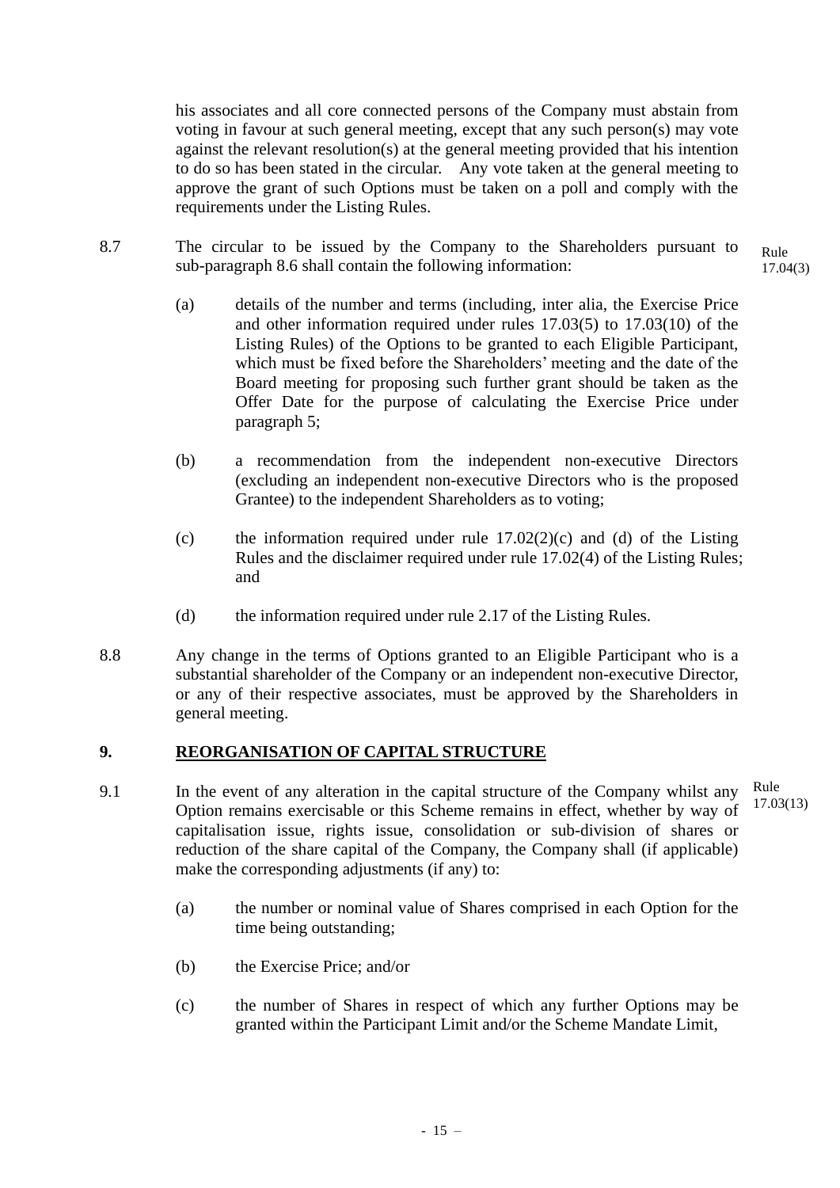his associates and all core connected persons of the Company must abstain from voting in favour at such general meeting, except that any such person(s) may vote against the relevant resolution(s) at the general meeting provided that his intention to do so has been stated in the circular. Any vote taken at the general meeting to approve the grant of such Options must be taken on a poll and comply with the requirements under the Listing Rules.

- 8.7 The circular to be issued by the Company to the Shareholders pursuant to sub-paragraph 8.6 shall contain the following information:
	- (a) details of the number and terms (including, inter alia, the Exercise Price and other information required under rules 17.03(5) to 17.03(10) of the Listing Rules) of the Options to be granted to each Eligible Participant, which must be fixed before the Shareholders' meeting and the date of the Board meeting for proposing such further grant should be taken as the Offer Date for the purpose of calculating the Exercise Price under paragraph 5;
	- (b) a recommendation from the independent non-executive Directors (excluding an independent non-executive Directors who is the proposed Grantee) to the independent Shareholders as to voting;
	- (c) the information required under rule  $17.02(2)(c)$  and (d) of the Listing Rules and the disclaimer required under rule 17.02(4) of the Listing Rules; and
	- (d) the information required under rule 2.17 of the Listing Rules.
- 8.8 Any change in the terms of Options granted to an Eligible Participant who is a substantial shareholder of the Company or an independent non-executive Director, or any of their respective associates, must be approved by the Shareholders in general meeting.

# **9. REORGANISATION OF CAPITAL STRUCTURE**

- 9.1 In the event of any alteration in the capital structure of the Company whilst any Option remains exercisable or this Scheme remains in effect, whether by way of capitalisation issue, rights issue, consolidation or sub-division of shares or reduction of the share capital of the Company, the Company shall (if applicable) make the corresponding adjustments (if any) to: Rule
	- (a) the number or nominal value of Shares comprised in each Option for the time being outstanding;
	- (b) the Exercise Price; and/or
	- (c) the number of Shares in respect of which any further Options may be granted within the Participant Limit and/or the Scheme Mandate Limit,

17.03(13)

Rule 17.04(3)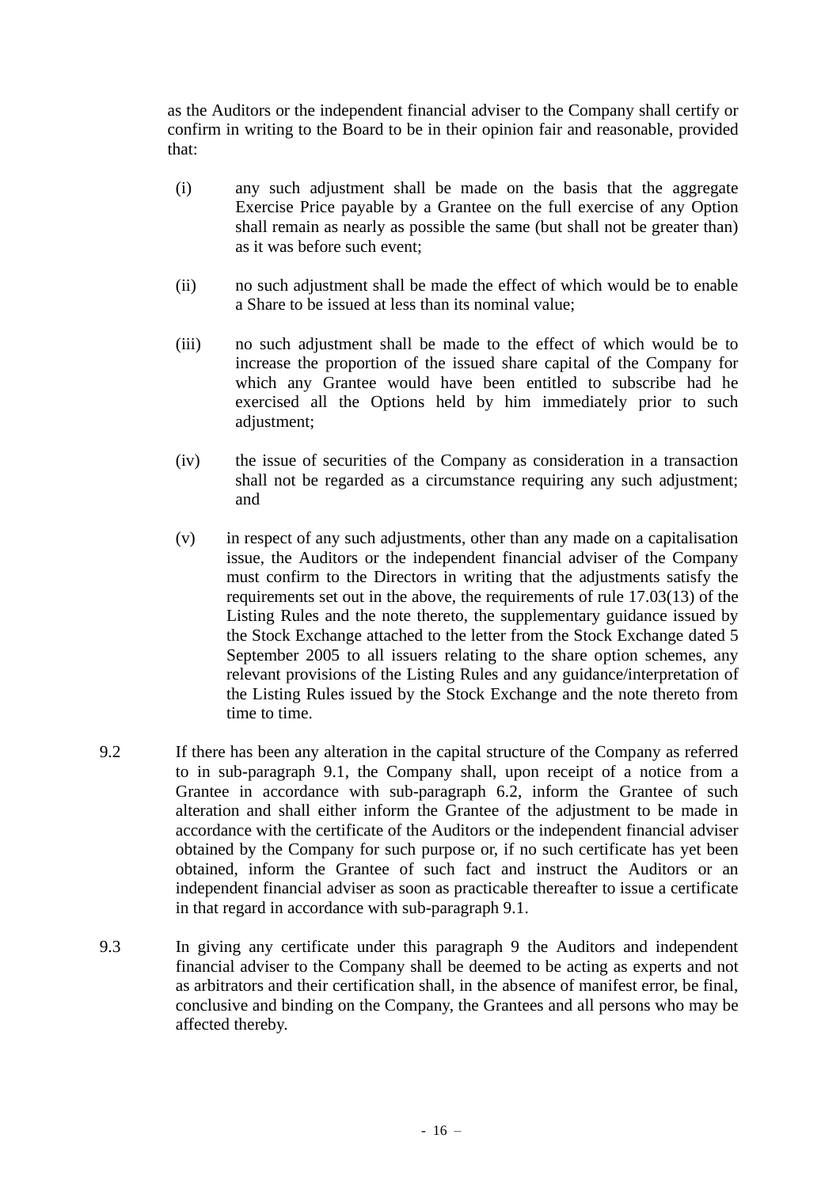as the Auditors or the independent financial adviser to the Company shall certify or confirm in writing to the Board to be in their opinion fair and reasonable, provided that:

- (i) any such adjustment shall be made on the basis that the aggregate Exercise Price payable by a Grantee on the full exercise of any Option shall remain as nearly as possible the same (but shall not be greater than) as it was before such event;
- (ii) no such adjustment shall be made the effect of which would be to enable a Share to be issued at less than its nominal value;
- (iii) no such adjustment shall be made to the effect of which would be to increase the proportion of the issued share capital of the Company for which any Grantee would have been entitled to subscribe had he exercised all the Options held by him immediately prior to such adjustment;
- (iv) the issue of securities of the Company as consideration in a transaction shall not be regarded as a circumstance requiring any such adjustment; and
- (v) in respect of any such adjustments, other than any made on a capitalisation issue, the Auditors or the independent financial adviser of the Company must confirm to the Directors in writing that the adjustments satisfy the requirements set out in the above, the requirements of rule 17.03(13) of the Listing Rules and the note thereto, the supplementary guidance issued by the Stock Exchange attached to the letter from the Stock Exchange dated 5 September 2005 to all issuers relating to the share option schemes, any relevant provisions of the Listing Rules and any guidance/interpretation of the Listing Rules issued by the Stock Exchange and the note thereto from time to time.
- 9.2 If there has been any alteration in the capital structure of the Company as referred to in sub-paragraph 9.1, the Company shall, upon receipt of a notice from a Grantee in accordance with sub-paragraph 6.2, inform the Grantee of such alteration and shall either inform the Grantee of the adjustment to be made in accordance with the certificate of the Auditors or the independent financial adviser obtained by the Company for such purpose or, if no such certificate has yet been obtained, inform the Grantee of such fact and instruct the Auditors or an independent financial adviser as soon as practicable thereafter to issue a certificate in that regard in accordance with sub-paragraph 9.1.
- 9.3 In giving any certificate under this paragraph 9 the Auditors and independent financial adviser to the Company shall be deemed to be acting as experts and not as arbitrators and their certification shall, in the absence of manifest error, be final, conclusive and binding on the Company, the Grantees and all persons who may be affected thereby.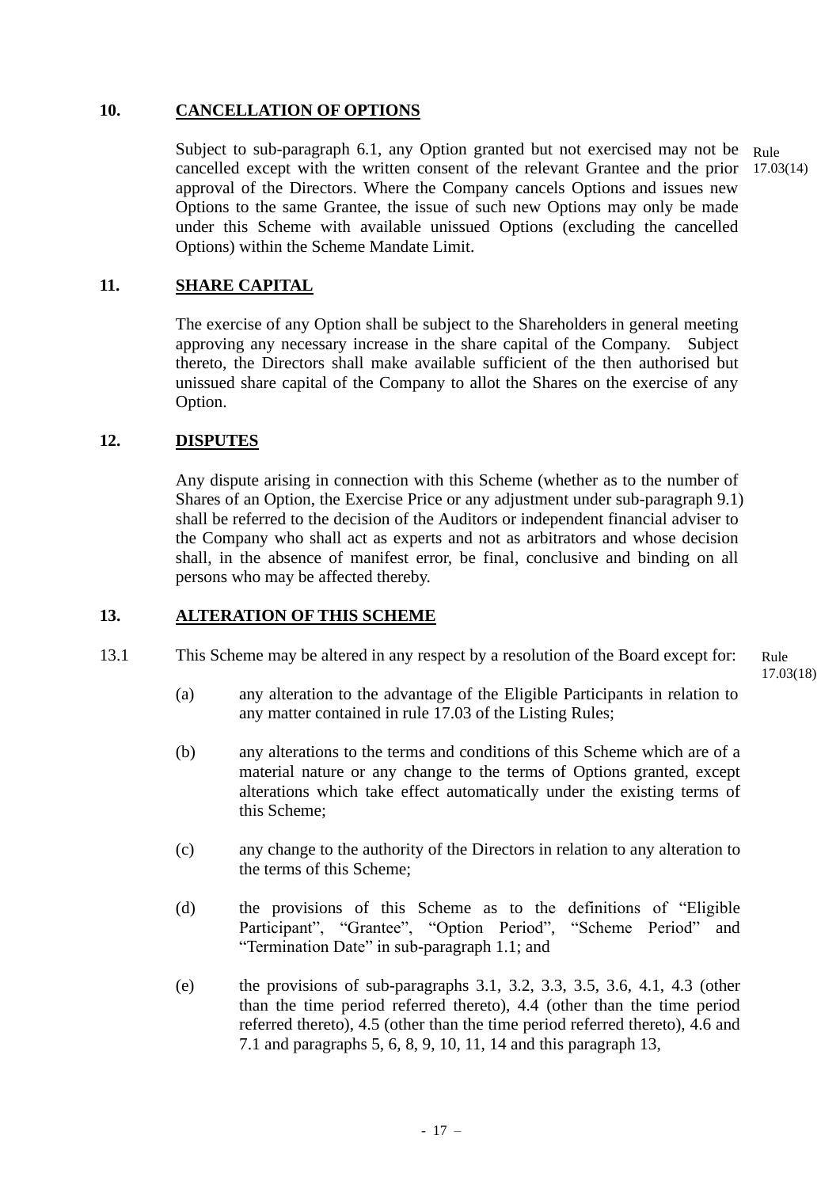# **10. CANCELLATION OF OPTIONS**

Subject to sub-paragraph 6.1, any Option granted but not exercised may not be cancelled except with the written consent of the relevant Grantee and the prior approval of the Directors. Where the Company cancels Options and issues new Options to the same Grantee, the issue of such new Options may only be made under this Scheme with available unissued Options (excluding the cancelled Options) within the Scheme Mandate Limit. Rule 17.03(14)

## **11. SHARE CAPITAL**

The exercise of any Option shall be subject to the Shareholders in general meeting approving any necessary increase in the share capital of the Company. Subject thereto, the Directors shall make available sufficient of the then authorised but unissued share capital of the Company to allot the Shares on the exercise of any Option.

## **12. DISPUTES**

Any dispute arising in connection with this Scheme (whether as to the number of Shares of an Option, the Exercise Price or any adjustment under sub-paragraph 9.1) shall be referred to the decision of the Auditors or independent financial adviser to the Company who shall act as experts and not as arbitrators and whose decision shall, in the absence of manifest error, be final, conclusive and binding on all persons who may be affected thereby.

## **13. ALTERATION OF THIS SCHEME**

13.1 This Scheme may be altered in any respect by a resolution of the Board except for:

Rule 17.03(18)

- (a) any alteration to the advantage of the Eligible Participants in relation to any matter contained in rule 17.03 of the Listing Rules;
- (b) any alterations to the terms and conditions of this Scheme which are of a material nature or any change to the terms of Options granted, except alterations which take effect automatically under the existing terms of this Scheme;
- (c) any change to the authority of the Directors in relation to any alteration to the terms of this Scheme;
- (d) the provisions of this Scheme as to the definitions of "Eligible Participant", "Grantee", "Option Period", "Scheme Period" and "Termination Date" in sub-paragraph 1.1; and
- (e) the provisions of sub-paragraphs 3.1, 3.2, 3.3, 3.5, 3.6, 4.1, 4.3 (other than the time period referred thereto), 4.4 (other than the time period referred thereto), 4.5 (other than the time period referred thereto), 4.6 and 7.1 and paragraphs 5, 6, 8, 9, 10, 11, 14 and this paragraph 13,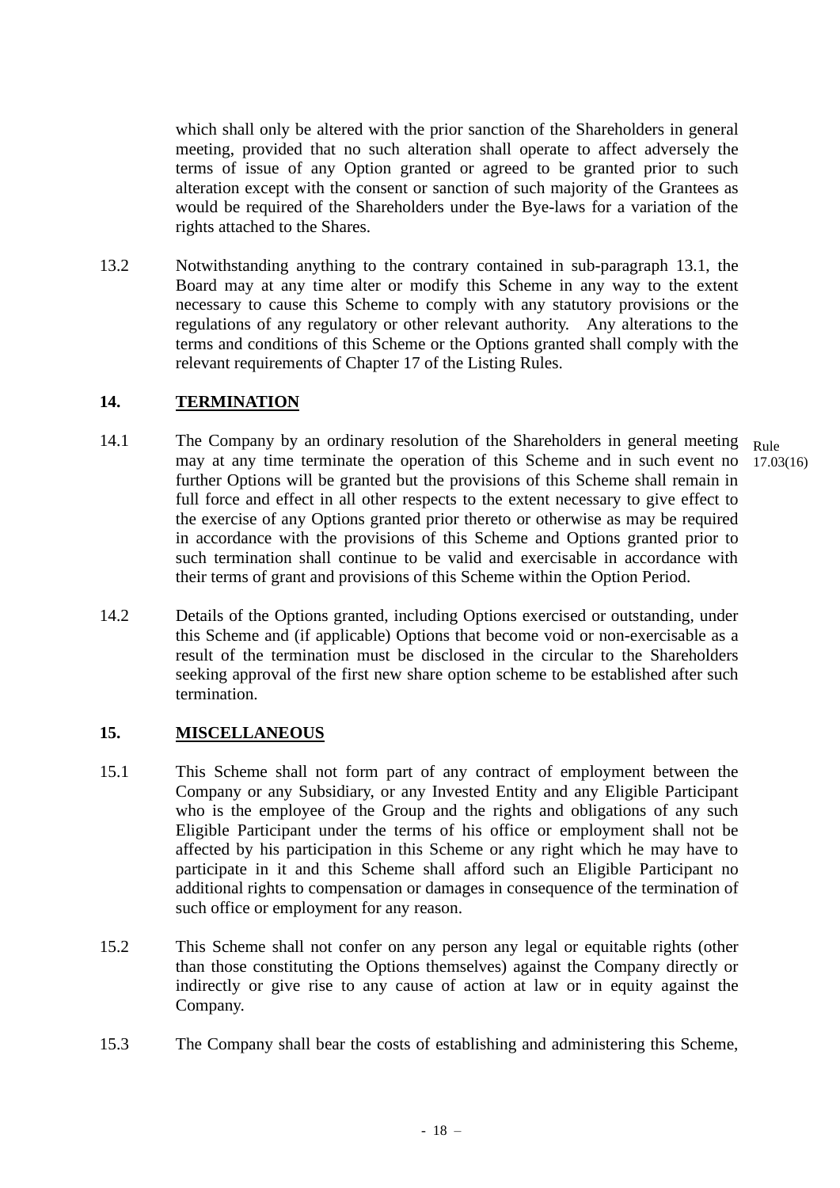which shall only be altered with the prior sanction of the Shareholders in general meeting, provided that no such alteration shall operate to affect adversely the terms of issue of any Option granted or agreed to be granted prior to such alteration except with the consent or sanction of such majority of the Grantees as would be required of the Shareholders under the Bye-laws for a variation of the rights attached to the Shares.

13.2 Notwithstanding anything to the contrary contained in sub-paragraph 13.1, the Board may at any time alter or modify this Scheme in any way to the extent necessary to cause this Scheme to comply with any statutory provisions or the regulations of any regulatory or other relevant authority. Any alterations to the terms and conditions of this Scheme or the Options granted shall comply with the relevant requirements of Chapter 17 of the Listing Rules.

# **14. TERMINATION**

- 14.1 The Company by an ordinary resolution of the Shareholders in general meeting may at any time terminate the operation of this Scheme and in such event no further Options will be granted but the provisions of this Scheme shall remain in full force and effect in all other respects to the extent necessary to give effect to the exercise of any Options granted prior thereto or otherwise as may be required in accordance with the provisions of this Scheme and Options granted prior to such termination shall continue to be valid and exercisable in accordance with their terms of grant and provisions of this Scheme within the Option Period. Rule 17.03(16)
- 14.2 Details of the Options granted, including Options exercised or outstanding, under this Scheme and (if applicable) Options that become void or non-exercisable as a result of the termination must be disclosed in the circular to the Shareholders seeking approval of the first new share option scheme to be established after such termination.

# **15. MISCELLANEOUS**

- 15.1 This Scheme shall not form part of any contract of employment between the Company or any Subsidiary, or any Invested Entity and any Eligible Participant who is the employee of the Group and the rights and obligations of any such Eligible Participant under the terms of his office or employment shall not be affected by his participation in this Scheme or any right which he may have to participate in it and this Scheme shall afford such an Eligible Participant no additional rights to compensation or damages in consequence of the termination of such office or employment for any reason.
- 15.2 This Scheme shall not confer on any person any legal or equitable rights (other than those constituting the Options themselves) against the Company directly or indirectly or give rise to any cause of action at law or in equity against the Company.
- 15.3 The Company shall bear the costs of establishing and administering this Scheme,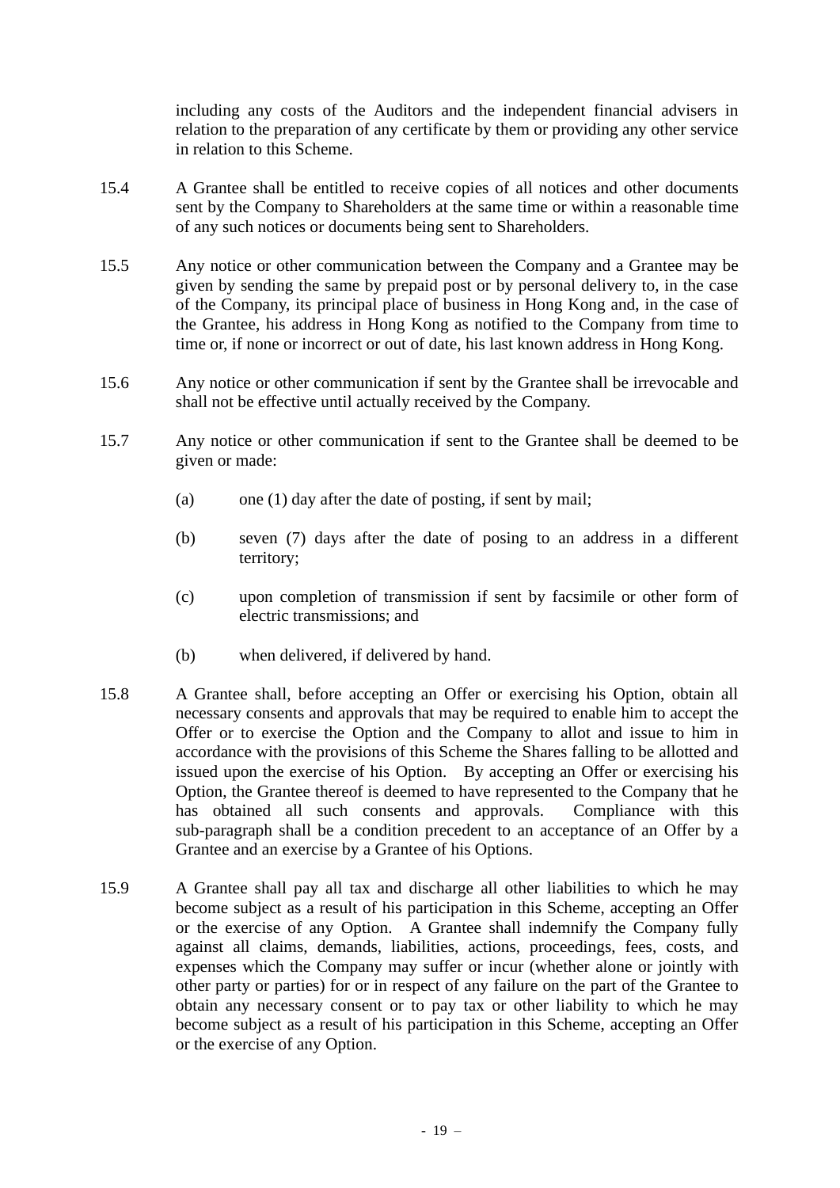including any costs of the Auditors and the independent financial advisers in relation to the preparation of any certificate by them or providing any other service in relation to this Scheme.

- 15.4 A Grantee shall be entitled to receive copies of all notices and other documents sent by the Company to Shareholders at the same time or within a reasonable time of any such notices or documents being sent to Shareholders.
- 15.5 Any notice or other communication between the Company and a Grantee may be given by sending the same by prepaid post or by personal delivery to, in the case of the Company, its principal place of business in Hong Kong and, in the case of the Grantee, his address in Hong Kong as notified to the Company from time to time or, if none or incorrect or out of date, his last known address in Hong Kong.
- 15.6 Any notice or other communication if sent by the Grantee shall be irrevocable and shall not be effective until actually received by the Company.
- 15.7 Any notice or other communication if sent to the Grantee shall be deemed to be given or made:
	- (a) one (1) day after the date of posting, if sent by mail;
	- (b) seven (7) days after the date of posing to an address in a different territory;
	- (c) upon completion of transmission if sent by facsimile or other form of electric transmissions; and
	- (b) when delivered, if delivered by hand.
- 15.8 A Grantee shall, before accepting an Offer or exercising his Option, obtain all necessary consents and approvals that may be required to enable him to accept the Offer or to exercise the Option and the Company to allot and issue to him in accordance with the provisions of this Scheme the Shares falling to be allotted and issued upon the exercise of his Option. By accepting an Offer or exercising his Option, the Grantee thereof is deemed to have represented to the Company that he has obtained all such consents and approvals. Compliance with this sub-paragraph shall be a condition precedent to an acceptance of an Offer by a Grantee and an exercise by a Grantee of his Options.
- 15.9 A Grantee shall pay all tax and discharge all other liabilities to which he may become subject as a result of his participation in this Scheme, accepting an Offer or the exercise of any Option. A Grantee shall indemnify the Company fully against all claims, demands, liabilities, actions, proceedings, fees, costs, and expenses which the Company may suffer or incur (whether alone or jointly with other party or parties) for or in respect of any failure on the part of the Grantee to obtain any necessary consent or to pay tax or other liability to which he may become subject as a result of his participation in this Scheme, accepting an Offer or the exercise of any Option.